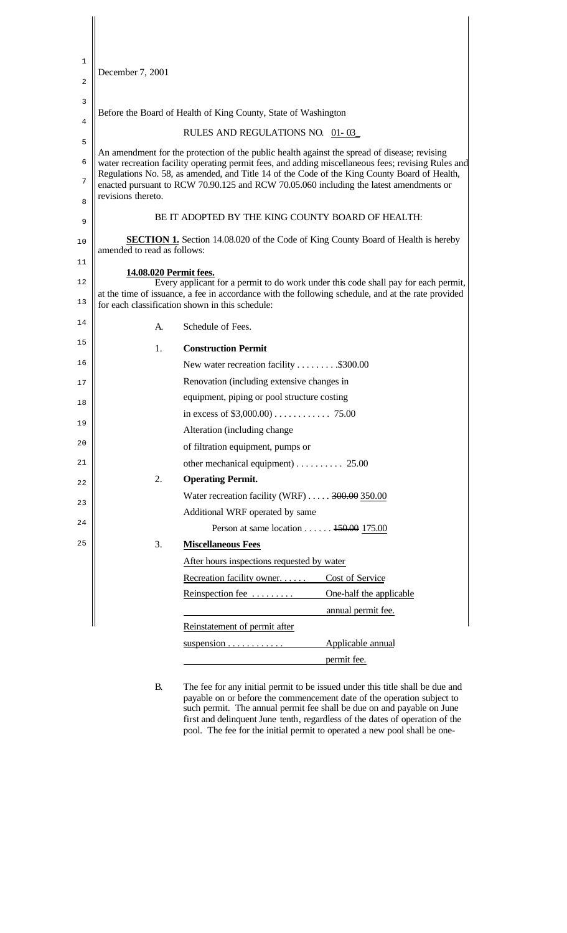| 1              |                                                                                                                                                                                                    |                                                                                              |                         |  |
|----------------|----------------------------------------------------------------------------------------------------------------------------------------------------------------------------------------------------|----------------------------------------------------------------------------------------------|-------------------------|--|
| $\overline{a}$ | December 7, 2001                                                                                                                                                                                   |                                                                                              |                         |  |
| 3              |                                                                                                                                                                                                    |                                                                                              |                         |  |
|                | Before the Board of Health of King County, State of Washington                                                                                                                                     |                                                                                              |                         |  |
| 4              | RULES AND REGULATIONS NO. 01-03                                                                                                                                                                    |                                                                                              |                         |  |
| 5              |                                                                                                                                                                                                    | An amendment for the protection of the public health against the spread of disease; revising |                         |  |
| 6              | water recreation facility operating permit fees, and adding miscellaneous fees; revising Rules and<br>Regulations No. 58, as amended, and Title 14 of the Code of the King County Board of Health, |                                                                                              |                         |  |
| 7              | enacted pursuant to RCW 70.90.125 and RCW 70.05.060 including the latest amendments or                                                                                                             |                                                                                              |                         |  |
| 8              | revisions thereto.                                                                                                                                                                                 |                                                                                              |                         |  |
| 9              | BE IT ADOPTED BY THE KING COUNTY BOARD OF HEALTH:                                                                                                                                                  |                                                                                              |                         |  |
| 10             | <b>SECTION 1.</b> Section 14.08.020 of the Code of King County Board of Health is hereby<br>amended to read as follows:                                                                            |                                                                                              |                         |  |
| 11             |                                                                                                                                                                                                    |                                                                                              |                         |  |
| 12             | 14.08.020 Permit fees.<br>Every applicant for a permit to do work under this code shall pay for each permit,                                                                                       |                                                                                              |                         |  |
| 13             | at the time of issuance, a fee in accordance with the following schedule, and at the rate provided<br>for each classification shown in this schedule:                                              |                                                                                              |                         |  |
| 14             |                                                                                                                                                                                                    |                                                                                              |                         |  |
|                | A.                                                                                                                                                                                                 | Schedule of Fees.                                                                            |                         |  |
| 15             | 1.                                                                                                                                                                                                 | <b>Construction Permit</b>                                                                   |                         |  |
| 16             |                                                                                                                                                                                                    | New water recreation facility \$300.00                                                       |                         |  |
| 17             | Renovation (including extensive changes in                                                                                                                                                         |                                                                                              |                         |  |
| 18             | equipment, piping or pool structure costing                                                                                                                                                        |                                                                                              |                         |  |
| 19             |                                                                                                                                                                                                    |                                                                                              |                         |  |
| 20             |                                                                                                                                                                                                    | Alteration (including change                                                                 |                         |  |
|                |                                                                                                                                                                                                    | of filtration equipment, pumps or                                                            |                         |  |
| 21             | other mechanical equipment) $\ldots \ldots \ldots$ 25.00                                                                                                                                           |                                                                                              |                         |  |
| 22             | 2.                                                                                                                                                                                                 | <b>Operating Permit.</b>                                                                     |                         |  |
| 23             |                                                                                                                                                                                                    | Water recreation facility (WRF)  300.00 350.00                                               |                         |  |
| 24             |                                                                                                                                                                                                    | Additional WRF operated by same<br>Person at same location $150.00$ 175.00                   |                         |  |
| 25             | 3.                                                                                                                                                                                                 | <b>Miscellaneous Fees</b>                                                                    |                         |  |
|                |                                                                                                                                                                                                    | After hours inspections requested by water                                                   |                         |  |
|                |                                                                                                                                                                                                    | Recreation facility owner                                                                    | Cost of Service         |  |
|                |                                                                                                                                                                                                    | Reinspection fee                                                                             | One-half the applicable |  |
|                |                                                                                                                                                                                                    |                                                                                              | annual permit fee.      |  |
|                |                                                                                                                                                                                                    | Reinstatement of permit after                                                                |                         |  |
|                |                                                                                                                                                                                                    | suspension $\dots \dots \dots$                                                               | Applicable annual       |  |
|                |                                                                                                                                                                                                    |                                                                                              | permit fee.             |  |
|                |                                                                                                                                                                                                    |                                                                                              |                         |  |

B. The fee for any initial permit to be issued under this title shall be due and payable on or before the commencement date of the operation subject to such permit. The annual permit fee shall be due on and payable on June first and delinquent June tenth, regardless of the dates of operation of the pool. The fee for the initial permit to operated a new pool shall be one-